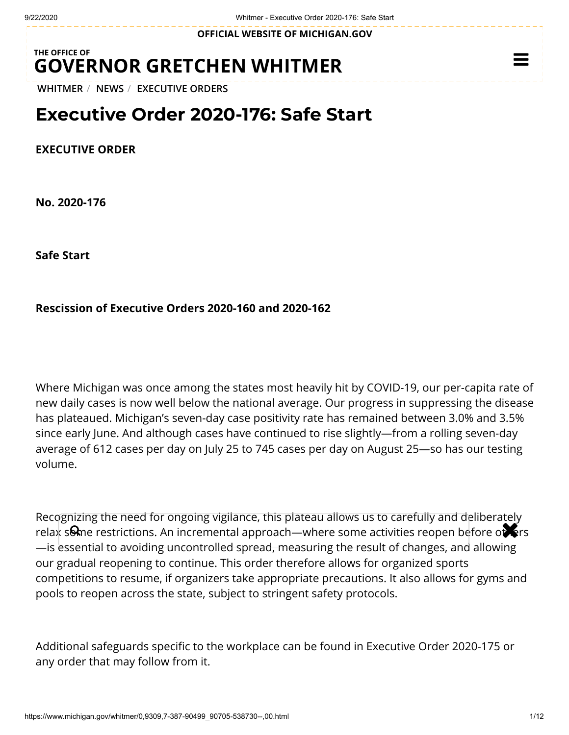**OFFICIAL WEBSITE OF [MICHIGAN.GOV](https://www.michigan.gov/)**

## **THE OFFICE OF GOVERNOR [GRETCHEN WHITMER](https://www.michigan.gov/whitmer/)**

**[WHITMER](https://www.michigan.gov/whitmer/)** / **[NEWS](https://www.michigan.gov/whitmer/0,9309,7-387-90499---,00.html)** / **[EXECUTIVE ORDERS](https://www.michigan.gov/whitmer/0,9309,7-387-90499_90705---,00.html)**

## **Executive Order 2020-176: Safe Start**

**EXECUTIVE ORDER**

**No. 2020-176**

**Safe Start**

### **Rescission of Executive Orders 2020-160 and 2020-162**

Where Michigan was once among the states most heavily hit by COVID-19, our per-capita rate of new daily cases is now well below the national average. Our progress in suppressing the disease has plateaued. Michigan's seven-day case positivity rate has remained between 3.0% and 3.5% since early June. And although cases have continued to rise slightly—from a rolling seven-day average of 612 cases per day on July 25 to 745 cases per day on August 25—so has our testing volume.

Recognizing the need for ongoing vigilance, this plateau allows us to carefully and deliberately recognizing the need for origoing vignance, this plated allows as to carefully and deliberately<br>relax some restrictions. An incremental approach—where some activities reopen before of first —is essential to avoiding uncontrolled spread, measuring the result of changes, and allowing our gradual reopening to continue. This order therefore allows for organized sports competitions to resume, if organizers take appropriate precautions. It also allows for gyms and pools to reopen across the state, subject to stringent safety protocols.

Additional safeguards specific to the workplace can be found in Executive Order 2020-175 or any order that may follow from it.

 $\equiv$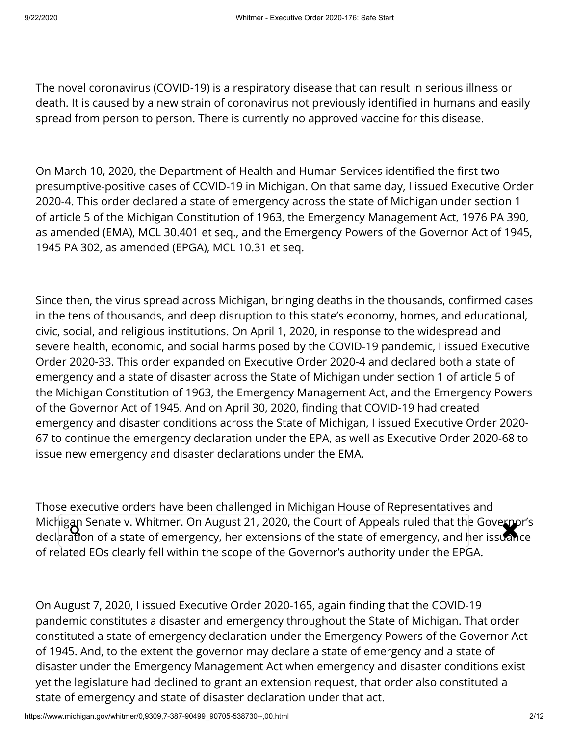The novel coronavirus (COVID-19) is a respiratory disease that can result in serious illness or death. It is caused by a new strain of coronavirus not previously identified in humans and easily spread from person to person. There is currently no approved vaccine for this disease.

On March 10, 2020, the Department of Health and Human Services identified the first two presumptive-positive cases of COVID-19 in Michigan. On that same day, I issued Executive Order 2020-4. This order declared a state of emergency across the state of Michigan under section 1 of article 5 of the Michigan Constitution of 1963, the Emergency Management Act, 1976 PA 390, as amended (EMA), MCL 30.401 et seq., and the Emergency Powers of the Governor Act of 1945, 1945 PA 302, as amended (EPGA), MCL 10.31 et seq.

Since then, the virus spread across Michigan, bringing deaths in the thousands, confirmed cases in the tens of thousands, and deep disruption to this state's economy, homes, and educational, civic, social, and religious institutions. On April 1, 2020, in response to the widespread and severe health, economic, and social harms posed by the COVID-19 pandemic, I issued Executive Order 2020-33. This order expanded on Executive Order 2020-4 and declared both a state of emergency and a state of disaster across the State of Michigan under section 1 of article 5 of the Michigan Constitution of 1963, the Emergency Management Act, and the Emergency Powers of the Governor Act of 1945. And on April 30, 2020, finding that COVID-19 had created emergency and disaster conditions across the State of Michigan, I issued Executive Order 2020- 67 to continue the emergency declaration under the EPA, as well as Executive Order 2020-68 to issue new emergency and disaster declarations under the EMA.

Those executive orders have been challenged in Michigan House of Representatives and Michigan Senate v. Whitmer. On August 21, 2020, the Court of Appeals ruled that the Governor's Michigan Senate v. Whitmer. On August 21, 2020, the Court of Appeals ruled that the Goverpor's<br>declaration of a state of emergency, her extensions of the state of emergency, and her issuance of related EOs clearly fell within the scope of the Governor's authority under the EPGA.

On August 7, 2020, I issued Executive Order 2020-165, again finding that the COVID-19 pandemic constitutes a disaster and emergency throughout the State of Michigan. That order constituted a state of emergency declaration under the Emergency Powers of the Governor Act of 1945. And, to the extent the governor may declare a state of emergency and a state of disaster under the Emergency Management Act when emergency and disaster conditions exist yet the legislature had declined to grant an extension request, that order also constituted a state of emergency and state of disaster declaration under that act.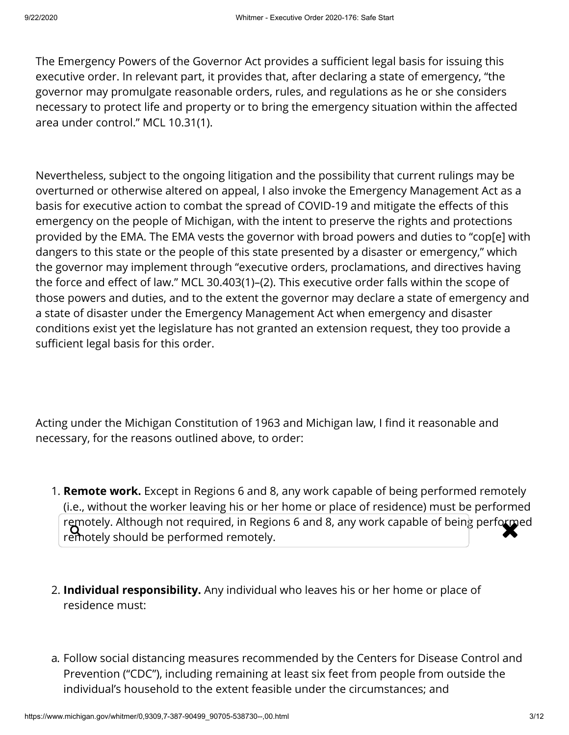The Emergency Powers of the Governor Act provides a sufficient legal basis for issuing this executive order. In relevant part, it provides that, after declaring a state of emergency, "the governor may promulgate reasonable orders, rules, and regulations as he or she considers necessary to protect life and property or to bring the emergency situation within the affected area under control." MCL 10.31(1).

Nevertheless, subject to the ongoing litigation and the possibility that current rulings may be overturned or otherwise altered on appeal, I also invoke the Emergency Management Act as a basis for executive action to combat the spread of COVID-19 and mitigate the effects of this emergency on the people of Michigan, with the intent to preserve the rights and protections provided by the EMA. The EMA vests the governor with broad powers and duties to "cop[e] with dangers to this state or the people of this state presented by a disaster or emergency," which the governor may implement through "executive orders, proclamations, and directives having the force and effect of law." MCL 30.403(1)–(2). This executive order falls within the scope of those powers and duties, and to the extent the governor may declare a state of emergency and a state of disaster under the Emergency Management Act when emergency and disaster conditions exist yet the legislature has not granted an extension request, they too provide a sufficient legal basis for this order.

Acting under the Michigan Constitution of 1963 and Michigan law, I find it reasonable and necessary, for the reasons outlined above, to order:

- 1. **Remote work.** Except in Regions 6 and 8, any work capable of being performed remotely (i.e., without the worker leaving his or her home or place of residence) must be performed remotely. Although not required, in Regions 6 and 8, any work capable of being performed<br>remotely should be performed remotely. remotely should be performed remotely.
- 2. **Individual responsibility.** Any individual who leaves his or her home or place of residence must:
- a. Follow social distancing measures recommended by the Centers for Disease Control and Prevention ("CDC"), including remaining at least six feet from people from outside the individual's household to the extent feasible under the circumstances; and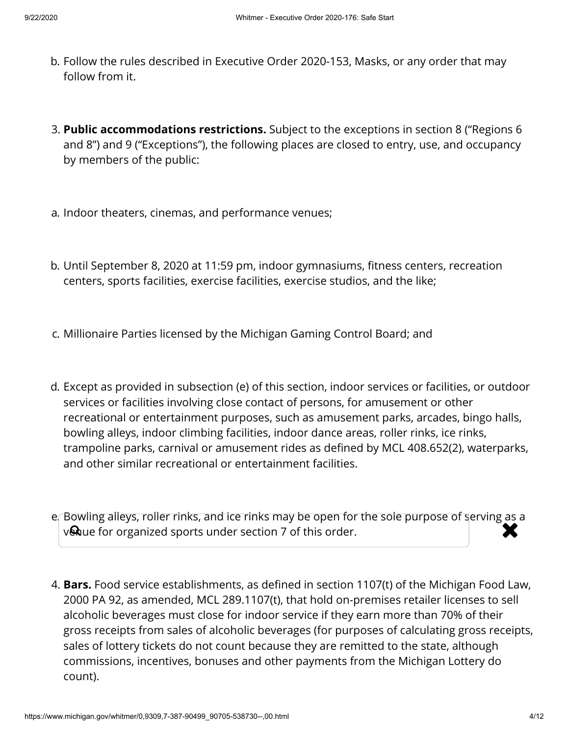- b. Follow the rules described in Executive Order 2020-153, Masks, or any order that may follow from it.
- 3. **Public accommodations restrictions.** Subject to the exceptions in section 8 ("Regions 6 and 8") and 9 ("Exceptions"), the following places are closed to entry, use, and occupancy by members of the public:
- a. Indoor theaters, cinemas, and performance venues;
- b. Until September 8, 2020 at 11:59 pm, indoor gymnasiums, fitness centers, recreation centers, sports facilities, exercise facilities, exercise studios, and the like;
- c. Millionaire Parties licensed by the Michigan Gaming Control Board; and
- d. Except as provided in subsection (e) of this section, indoor services or facilities, or outdoor services or facilities involving close contact of persons, for amusement or other recreational or entertainment purposes, such as amusement parks, arcades, bingo halls, bowling alleys, indoor climbing facilities, indoor dance areas, roller rinks, ice rinks, trampoline parks, carnival or amusement rides as defined by MCL 408.652(2), waterparks, and other similar recreational or entertainment facilities.
- e. Bowling alleys, roller rinks, and ice rinks may be open for the sole purpose of serving as a venue for organized sports under section 7 of this order.
- 4. **Bars.** Food service establishments, as defined in section 1107(t) of the Michigan Food Law, 2000 PA 92, as amended, MCL 289.1107(t), that hold on-premises retailer licenses to sell alcoholic beverages must close for indoor service if they earn more than 70% of their gross receipts from sales of alcoholic beverages (for purposes of calculating gross receipts, sales of lottery tickets do not count because they are remitted to the state, although commissions, incentives, bonuses and other payments from the Michigan Lottery do count).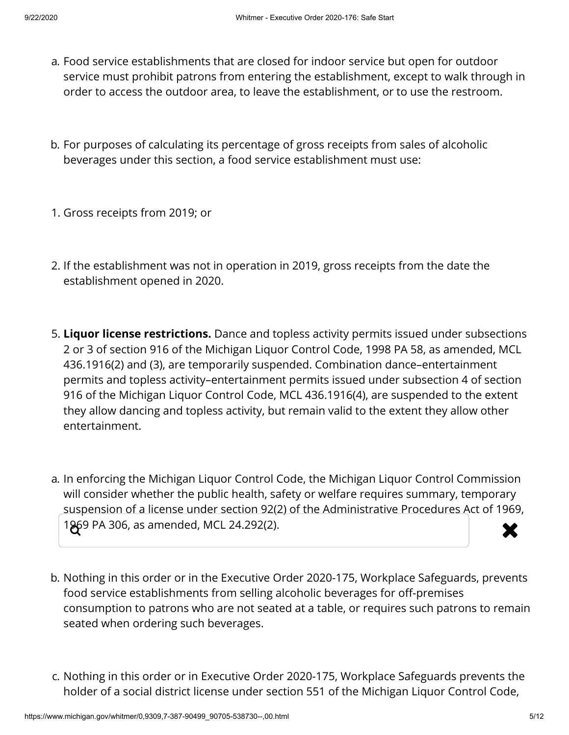- a. Food service establishments that are closed for indoor service but open for outdoor service must prohibit patrons from entering the establishment, except to walk through in order to access the outdoor area, to leave the establishment, or to use the restroom.
- b. For purposes of calculating its percentage of gross receipts from sales of alcoholic beverages under this section, a food service establishment must use:
- 1. Gross receipts from 2019; or
- 2. If the establishment was not in operation in 2019, gross receipts from the date the establishment opened in 2020.
- 5. **Liquor license restrictions.** Dance and topless activity permits issued under subsections 2 or 3 of section 916 of the Michigan Liquor Control Code, 1998 PA 58, as amended, MCL 436.1916(2) and (3), are temporarily suspended. Combination dance–entertainment permits and topless activity–entertainment permits issued under subsection 4 of section 916 of the Michigan Liquor Control Code, MCL 436.1916(4), are suspended to the extent they allow dancing and topless activity, but remain valid to the extent they allow other entertainment.
- a. In enforcing the Michigan Liquor Control Code, the Michigan Liquor Control Commission will consider whether the public health, safety or welfare requires summary, temporary suspension of a license under section 92(2) of the Administrative Procedures Act of 1969, 1969 PA 306, as amended, MCL 24.292(2).
- b. Nothing in this order or in the Executive Order 2020-175, Workplace Safeguards, prevents food service establishments from selling alcoholic beverages for off-premises consumption to patrons who are not seated at a table, or requires such patrons to remain seated when ordering such beverages.
- c. Nothing in this order or in Executive Order 2020-175, Workplace Safeguards prevents the holder of a social district license under section 551 of the Michigan Liquor Control Code,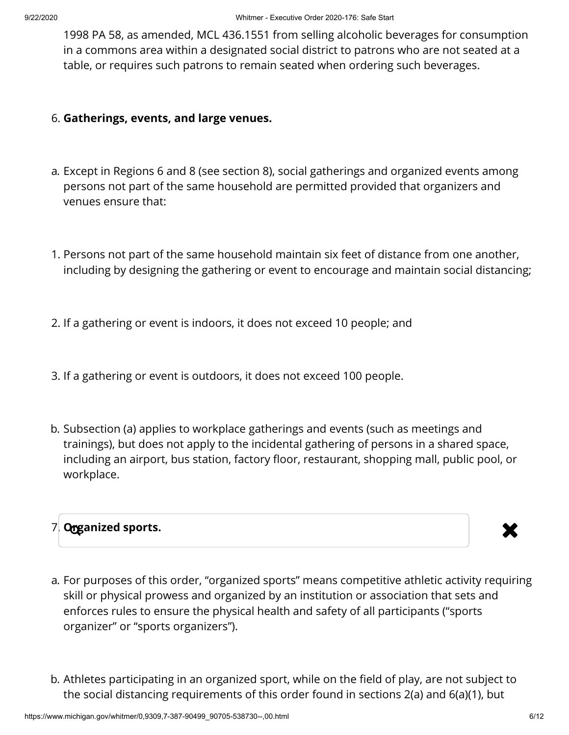1998 PA 58, as amended, MCL 436.1551 from selling alcoholic beverages for consumption in a commons area within a designated social district to patrons who are not seated at a table, or requires such patrons to remain seated when ordering such beverages.

## 6. **Gatherings, events, and large venues.**

- a. Except in Regions 6 and 8 (see section 8), social gatherings and organized events among persons not part of the same household are permitted provided that organizers and venues ensure that:
- 1. Persons not part of the same household maintain six feet of distance from one another, including by designing the gathering or event to encourage and maintain social distancing;
- 2. If a gathering or event is indoors, it does not exceed 10 people; and
- 3. If a gathering or event is outdoors, it does not exceed 100 people.
- b. Subsection (a) applies to workplace gatherings and events (such as meetings and trainings), but does not apply to the incidental gathering of persons in a shared space, including an airport, bus station, factory floor, restaurant, shopping mall, public pool, or workplace.

# 7. **Organized sports.**



- a. For purposes of this order, "organized sports" means competitive athletic activity requiring skill or physical prowess and organized by an institution or association that sets and enforces rules to ensure the physical health and safety of all participants ("sports organizer" or "sports organizers").
- b. Athletes participating in an organized sport, while on the field of play, are not subject to the social distancing requirements of this order found in sections 2(a) and 6(a)(1), but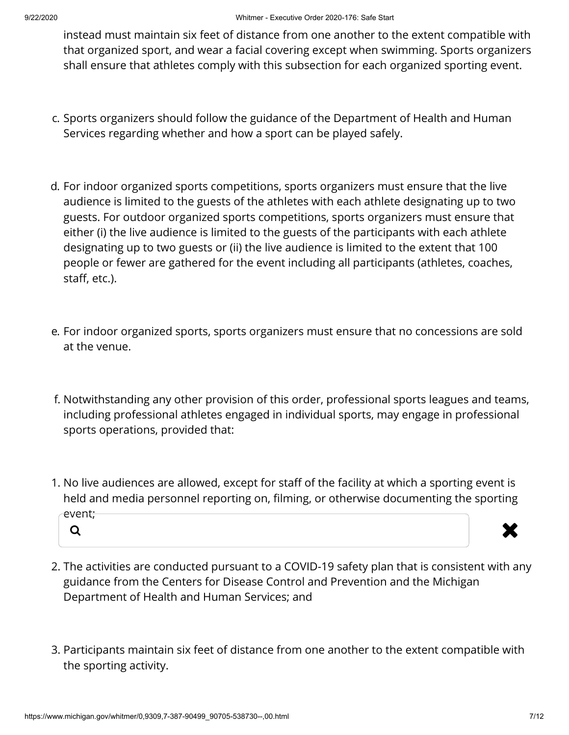instead must maintain six feet of distance from one another to the extent compatible with that organized sport, and wear a facial covering except when swimming. Sports organizers shall ensure that athletes comply with this subsection for each organized sporting event.

- c. Sports organizers should follow the guidance of the Department of Health and Human Services regarding whether and how a sport can be played safely.
- d. For indoor organized sports competitions, sports organizers must ensure that the live audience is limited to the guests of the athletes with each athlete designating up to two guests. For outdoor organized sports competitions, sports organizers must ensure that either (i) the live audience is limited to the guests of the participants with each athlete designating up to two guests or (ii) the live audience is limited to the extent that 100 people or fewer are gathered for the event including all participants (athletes, coaches, staff, etc.).
- e. For indoor organized sports, sports organizers must ensure that no concessions are sold at the venue.
- f. Notwithstanding any other provision of this order, professional sports leagues and teams, including professional athletes engaged in individual sports, may engage in professional sports operations, provided that:
- 1. No live audiences are allowed, except for staff of the facility at which a sporting event is held and media personnel reporting on, filming, or otherwise documenting the sporting event; a **x**



- 2. The activities are conducted pursuant to a COVID-19 safety plan that is consistent with any guidance from the Centers for Disease Control and Prevention and the Michigan Department of Health and Human Services; and
- 3. Participants maintain six feet of distance from one another to the extent compatible with the sporting activity.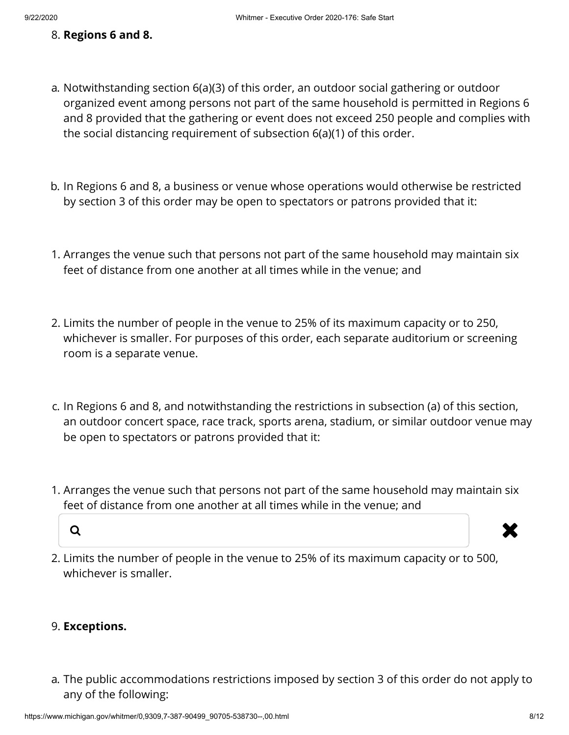## 8. **Regions 6 and 8.**

- a. Notwithstanding section 6(a)(3) of this order, an outdoor social gathering or outdoor organized event among persons not part of the same household is permitted in Regions 6 and 8 provided that the gathering or event does not exceed 250 people and complies with the social distancing requirement of subsection 6(a)(1) of this order.
- b. In Regions 6 and 8, a business or venue whose operations would otherwise be restricted by section 3 of this order may be open to spectators or patrons provided that it:
- 1. Arranges the venue such that persons not part of the same household may maintain six feet of distance from one another at all times while in the venue; and
- 2. Limits the number of people in the venue to 25% of its maximum capacity or to 250, whichever is smaller. For purposes of this order, each separate auditorium or screening room is a separate venue.
- c. In Regions 6 and 8, and notwithstanding the restrictions in subsection (a) of this section, an outdoor concert space, race track, sports arena, stadium, or similar outdoor venue may be open to spectators or patrons provided that it:
- 1. Arranges the venue such that persons not part of the same household may maintain six feet of distance from one another at all times while in the venue; and



2. Limits the number of people in the venue to 25% of its maximum capacity or to 500, whichever is smaller.

## 9. **Exceptions.**

a. The public accommodations restrictions imposed by section 3 of this order do not apply to any of the following: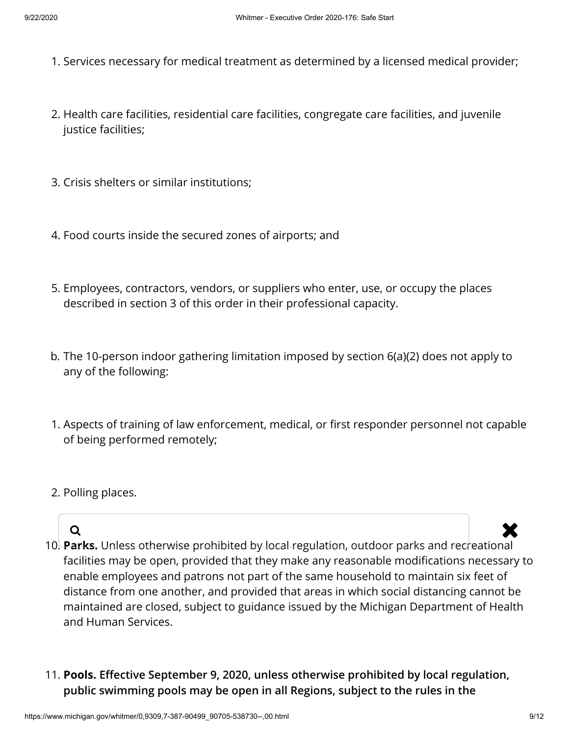- 1. Services necessary for medical treatment as determined by a licensed medical provider;
- 2. Health care facilities, residential care facilities, congregate care facilities, and juvenile justice facilities;
- 3. Crisis shelters or similar institutions;
- 4. Food courts inside the secured zones of airports; and
- 5. Employees, contractors, vendors, or suppliers who enter, use, or occupy the places described in section 3 of this order in their professional capacity.
- b. The 10-person indoor gathering limitation imposed by section 6(a)(2) does not apply to any of the following:
- 1. Aspects of training of law enforcement, medical, or first responder personnel not capable of being performed remotely;
- 2. Polling places.

- 10. **Parks.** Unless otherwise prohibited by local regulation, outdoor parks and recreational facilities may be open, provided that they make any reasonable modifications necessary to enable employees and patrons not part of the same household to maintain six feet of distance from one another, and provided that areas in which social distancing cannot be maintained are closed, subject to guidance issued by the Michigan Department of Health and Human Services.  $\alpha$  . The contract of the contract of  $\mathbf x$
- 11. **Pools.** Effective September 9, 2020, unless otherwise prohibited by local regulation, **public swimming pools may be open in all Regions, subject to the rules in the**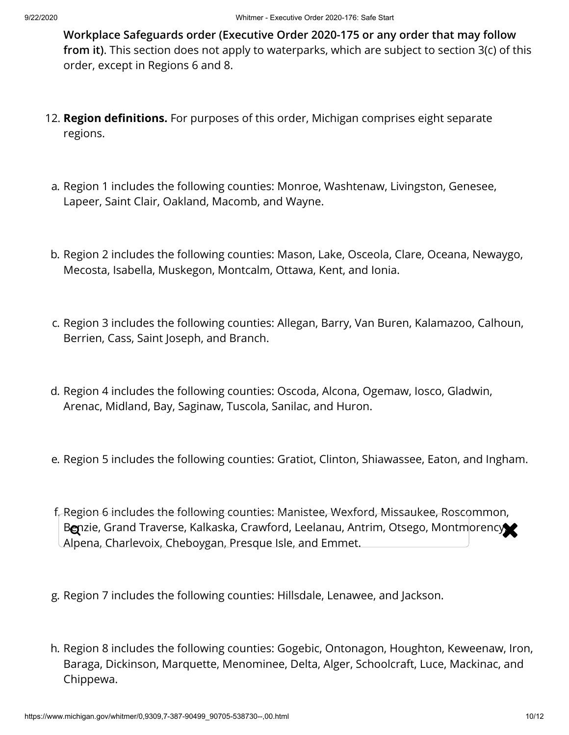**Workplace Safeguards order (Executive Order 2020-175 or any order that may follow from it)**. This section does not apply to waterparks, which are subject to section 3(c) of this order, except in Regions 6 and 8.

- 12. **Region definitions.** For purposes of this order, Michigan comprises eight separate regions.
- a. Region 1 includes the following counties: Monroe, Washtenaw, Livingston, Genesee, Lapeer, Saint Clair, Oakland, Macomb, and Wayne.
- b. Region 2 includes the following counties: Mason, Lake, Osceola, Clare, Oceana, Newaygo, Mecosta, Isabella, Muskegon, Montcalm, Ottawa, Kent, and Ionia.
- c. Region 3 includes the following counties: Allegan, Barry, Van Buren, Kalamazoo, Calhoun, Berrien, Cass, Saint Joseph, and Branch.
- d. Region 4 includes the following counties: Oscoda, Alcona, Ogemaw, Iosco, Gladwin, Arenac, Midland, Bay, Saginaw, Tuscola, Sanilac, and Huron.
- e. Region 5 includes the following counties: Gratiot, Clinton, Shiawassee, Eaton, and Ingham.
- f. Region 6 includes the following counties: Manistee, Wexford, Missaukee, Roscommon, Benzie, Grand Traverse, Kalkaska, Crawford, Leelanau, Antrim, Otsego, Montmorency Alpena, Charlevoix, Cheboygan, Presque Isle, and Emmet.
- g. Region 7 includes the following counties: Hillsdale, Lenawee, and Jackson.
- h. Region 8 includes the following counties: Gogebic, Ontonagon, Houghton, Keweenaw, Iron, Baraga, Dickinson, Marquette, Menominee, Delta, Alger, Schoolcraft, Luce, Mackinac, and Chippewa.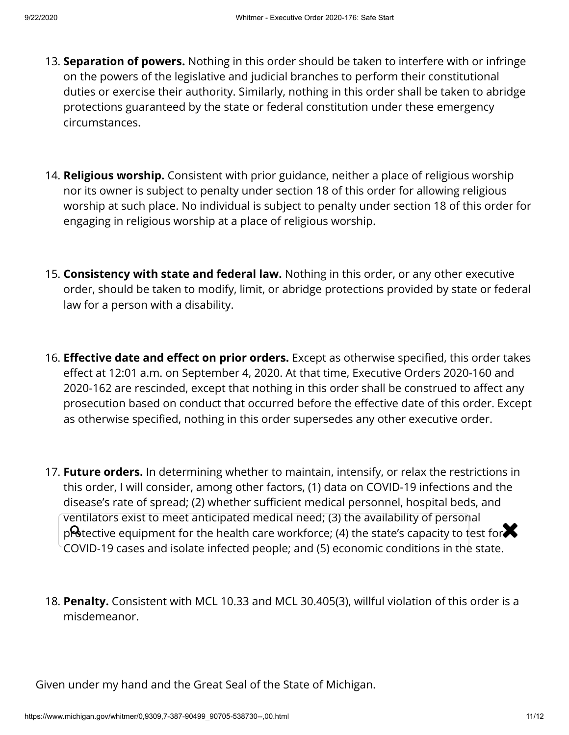- 13. **Separation of powers.** Nothing in this order should be taken to interfere with or infringe on the powers of the legislative and judicial branches to perform their constitutional duties or exercise their authority. Similarly, nothing in this order shall be taken to abridge protections guaranteed by the state or federal constitution under these emergency circumstances.
- 14. **Religious worship.** Consistent with prior guidance, neither a place of religious worship nor its owner is subject to penalty under section 18 of this order for allowing religious worship at such place. No individual is subject to penalty under section 18 of this order for engaging in religious worship at a place of religious worship.
- 15. **Consistency with state and federal law.** Nothing in this order, or any other executive order, should be taken to modify, limit, or abridge protections provided by state or federal law for a person with a disability.
- 16. **Effective date and effect on prior orders.** Except as otherwise specified, this order takes effect at 12:01 a.m. on September 4, 2020. At that time, Executive Orders 2020-160 and 2020-162 are rescinded, except that nothing in this order shall be construed to affect any prosecution based on conduct that occurred before the effective date of this order. Except as otherwise specified, nothing in this order supersedes any other executive order.
- 17. **Future orders.** In determining whether to maintain, intensify, or relax the restrictions in this order, I will consider, among other factors, (1) data on COVID-19 infections and the disease's rate of spread; (2) whether sufficient medical personnel, hospital beds, and ventilators exist to meet anticipated medical need; (3) the availability of personal protective equipment for the health care workforce; (4) the state's capacity to test for $\blacktriangleright$ COVID-19 cases and isolate infected people; and (5) economic conditions in the state.
- 18. **Penalty.** Consistent with MCL 10.33 and MCL 30.405(3), willful violation of this order is a misdemeanor.

Given under my hand and the Great Seal of the State of Michigan.